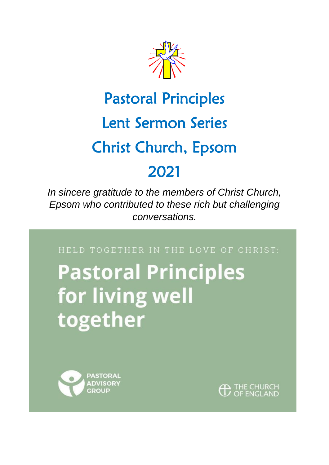

## Pastoral Principles Lent Sermon Series Christ Church, Epsom 2021

*In sincere gratitude to the members of Christ Church, Epsom who contributed to these rich but challenging conversations.*

HELD TOGETHER IN THE LOVE OF CHRIST:

# **Pastoral Principles** for living well together



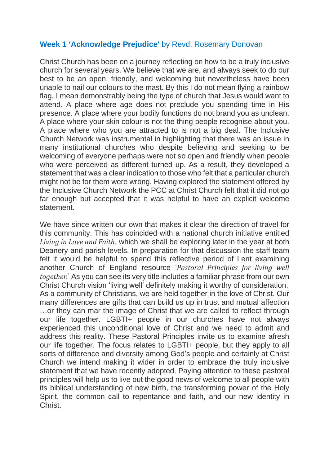#### **Week 1 'Acknowledge Prejudice'** by Revd. Rosemary Donovan

Christ Church has been on a journey reflecting on how to be a truly inclusive church for several years. We believe that we are, and always seek to do our best to be an open, friendly, and welcoming but nevertheless have been unable to nail our colours to the mast. By this I do not mean flying a rainbow flag, I mean demonstrably being the type of church that Jesus would want to attend. A place where age does not preclude you spending time in His presence. A place where your bodily functions do not brand you as unclean. A place where your skin colour is not the thing people recognise about you. A place where who you are attracted to is not a big deal. The Inclusive Church Network was instrumental in highlighting that there was an issue in many institutional churches who despite believing and seeking to be welcoming of everyone perhaps were not so open and friendly when people who were perceived as different turned up. As a result, they developed a statement that was a clear indication to those who felt that a particular church might not be for them were wrong. Having explored the statement offered by the Inclusive Church Network the PCC at Christ Church felt that it did not go far enough but accepted that it was helpful to have an explicit welcome statement.

We have since written our own that makes it clear the direction of travel for this community. This has coincided with a national church initiative entitled *Living in Love and Faith*, which we shall be exploring later in the year at both Deanery and parish levels. In preparation for that discussion the staff team felt it would be helpful to spend this reflective period of Lent examining another Church of England resource '*Pastoral Principles for living well together.*' As you can see its very title includes a familiar phrase from our own Christ Church vision 'living well' definitely making it worthy of consideration. As a community of Christians, we are held together in the love of Christ. Our many differences are gifts that can build us up in trust and mutual affection …or they can mar the image of Christ that we are called to reflect through our life together. LGBTI+ people in our churches have not always experienced this unconditional love of Christ and we need to admit and address this reality. These Pastoral Principles invite us to examine afresh our life together. The focus relates to LGBTI+ people, but they apply to all sorts of difference and diversity among God's people and certainly at Christ Church we intend making it wider in order to embrace the truly inclusive statement that we have recently adopted. Paying attention to these pastoral principles will help us to live out the good news of welcome to all people with its biblical understanding of new birth, the transforming power of the Holy Spirit, the common call to repentance and faith, and our new identity in Christ.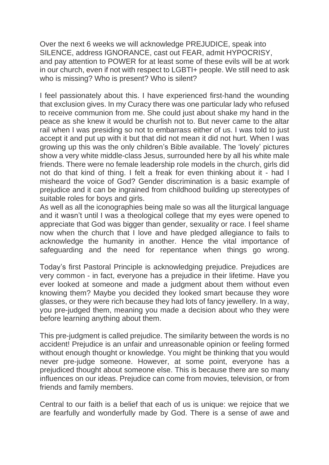Over the next 6 weeks we will acknowledge PREJUDICE, speak into SILENCE, address IGNORANCE, cast out FEAR, admit HYPOCRISY, and pay attention to POWER for at least some of these evils will be at work in our church, even if not with respect to LGBTI+ people. We still need to ask who is missing? Who is present? Who is silent?

I feel passionately about this. I have experienced first-hand the wounding that exclusion gives. In my Curacy there was one particular lady who refused to receive communion from me. She could just about shake my hand in the peace as she knew it would be churlish not to. But never came to the altar rail when I was presiding so not to embarrass either of us. I was told to just accept it and put up with it but that did not mean it did not hurt. When I was growing up this was the only children's Bible available. The 'lovely' pictures show a very white middle-class Jesus, surrounded here by all his white male friends. There were no female leadership role models in the church, girls did not do that kind of thing. I felt a freak for even thinking about it - had I misheard the voice of God? Gender discrimination is a basic example of prejudice and it can be ingrained from childhood building up stereotypes of suitable roles for boys and girls.

As well as all the iconographies being male so was all the liturgical language and it wasn't until I was a theological college that my eyes were opened to appreciate that God was bigger than gender, sexuality or race. I feel shame now when the church that I love and have pledged allegiance to fails to acknowledge the humanity in another. Hence the vital importance of safeguarding and the need for repentance when things go wrong.

Today's first Pastoral Principle is acknowledging prejudice. Prejudices are very common - in fact, everyone has a prejudice in their lifetime. Have you ever looked at someone and made a judgment about them without even knowing them? Maybe you decided they looked smart because they wore glasses, or they were rich because they had lots of fancy jewellery. In a way, you pre-judged them, meaning you made a decision about who they were before learning anything about them.

This pre-judgment is called prejudice. The similarity between the words is no accident! Prejudice is an unfair and unreasonable opinion or feeling formed without enough thought or knowledge. You might be thinking that you would never pre-judge someone. However, at some point, everyone has a prejudiced thought about someone else. This is because there are so many influences on our ideas. Prejudice can come from movies, television, or from friends and family members.

Central to our faith is a belief that each of us is unique: we rejoice that we are fearfully and wonderfully made by God. There is a sense of awe and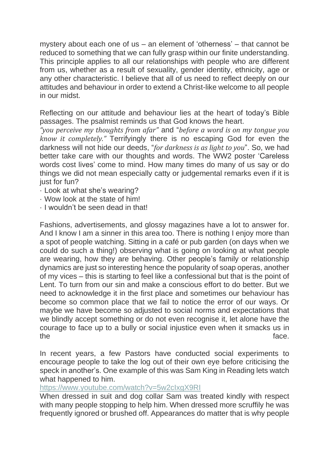mystery about each one of us – an element of 'otherness' – that cannot be reduced to something that we can fully grasp within our finite understanding. This principle applies to all our relationships with people who are different from us, whether as a result of sexuality, gender identity, ethnicity, age or any other characteristic. I believe that all of us need to reflect deeply on our attitudes and behaviour in order to extend a Christ-like welcome to all people in our midst.

Reflecting on our attitude and behaviour lies at the heart of today's Bible passages. The psalmist reminds us that God knows the heart.

*"you perceive my thoughts from afar"* and "*before a word is on my tongue you know it completely."* Terrifyingly there is no escaping God for even the darkness will not hide our deeds, "*for darkness is as light to you*". So, we had better take care with our thoughts and words. The WW2 poster 'Careless words cost lives' come to mind. How many times do many of us say or do things we did not mean especially catty or judgemental remarks even if it is just for fun?

- · Look at what she's wearing?
- · Wow look at the state of him!
- · I wouldn't be seen dead in that!

Fashions, advertisements, and glossy magazines have a lot to answer for. And I know I am a sinner in this area too. There is nothing I enjoy more than a spot of people watching. Sitting in a café or pub garden (on days when we could do such a thing!) observing what is going on looking at what people are wearing, how they are behaving. Other people's family or relationship dynamics are just so interesting hence the popularity of soap operas, another of my vices – this is starting to feel like a confessional but that is the point of Lent. To turn from our sin and make a conscious effort to do better. But we need to acknowledge it in the first place and sometimes our behaviour has become so common place that we fail to notice the error of our ways. Or maybe we have become so adjusted to social norms and expectations that we blindly accept something or do not even recognise it, let alone have the courage to face up to a bully or social injustice even when it smacks us in the face.

In recent years, a few Pastors have conducted social experiments to encourage people to take the log out of their own eye before criticising the speck in another's. One example of this was Sam King in Reading lets watch what happened to him.

<https://www.youtube.com/watch?v=5w2cIxgX9RI>

When dressed in suit and dog collar Sam was treated kindly with respect with many people stopping to help him. When dressed more scruffily he was frequently ignored or brushed off. Appearances do matter that is why people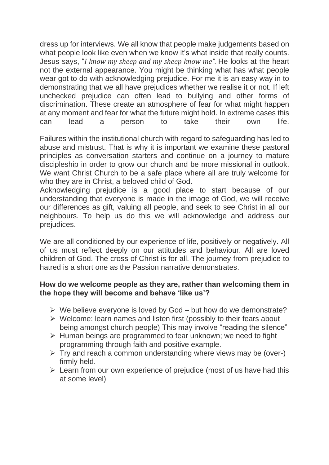dress up for interviews. We all know that people make judgements based on what people look like even when we know it's what inside that really counts. Jesus says, "*I know my sheep and my sheep know me".* He looks at the heart not the external appearance. You might be thinking what has what people wear got to do with acknowledging prejudice. For me it is an easy way in to demonstrating that we all have prejudices whether we realise it or not. If left unchecked prejudice can often lead to bullying and other forms of discrimination. These create an atmosphere of fear for what might happen at any moment and fear for what the future might hold. In extreme cases this can lead a person to take their own life.

Failures within the institutional church with regard to safeguarding has led to abuse and mistrust. That is why it is important we examine these pastoral principles as conversation starters and continue on a journey to mature discipleship in order to grow our church and be more missional in outlook. We want Christ Church to be a safe place where all are truly welcome for who they are in Christ, a beloved child of God.

Acknowledging prejudice is a good place to start because of our understanding that everyone is made in the image of God, we will receive our differences as gift, valuing all people, and seek to see Christ in all our neighbours. To help us do this we will acknowledge and address our prejudices.

We are all conditioned by our experience of life, positively or negatively. All of us must reflect deeply on our attitudes and behaviour. All are loved children of God. The cross of Christ is for all. The journey from prejudice to hatred is a short one as the Passion narrative demonstrates.

#### **How do we welcome people as they are, rather than welcoming them in the hope they will become and behave 'like us'?**

- $\triangleright$  We believe everyone is loved by God but how do we demonstrate?
- ➢ Welcome: learn names and listen first (possibly to their fears about being amongst church people) This may involve "reading the silence"
- ➢ Human beings are programmed to fear unknown; we need to fight programming through faith and positive example.
- $\triangleright$  Try and reach a common understanding where views may be (over-) firmly held.
- $\triangleright$  Learn from our own experience of prejudice (most of us have had this at some level)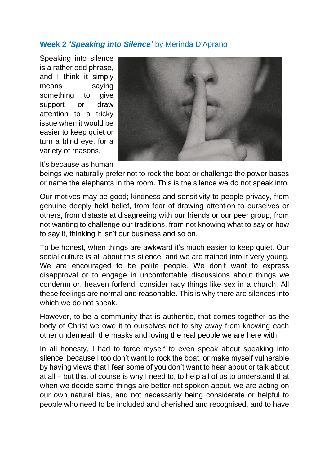### **Week 2** *'Speaking into Silence'* by Merinda D'Aprano

Speaking into silence is a rather odd phrase, and I think it simply means saying something to give support or draw attention to a tricky issue when it would be easier to keep quiet or turn a blind eye, for a variety of reasons.



#### It's because as human

beings we naturally prefer not to rock the boat or challenge the power bases or name the elephants in the room. This is the silence we do not speak into.

Our motives may be good; kindness and sensitivity to people privacy, from genuine deeply held belief, from fear of drawing attention to ourselves or others, from distaste at disagreeing with our friends or our peer group, from not wanting to challenge our traditions, from not knowing what to say or how to say it, thinking it isn't our business and so on.

To be honest, when things are awkward it's much easier to keep quiet. Our social culture is all about this silence, and we are trained into it very young. We are encouraged to be polite people. We don't want to express disapproval or to engage in uncomfortable discussions about things we condemn or, heaven forfend, consider racy things like sex in a church. All these feelings are normal and reasonable. This is why there are silences into which we do not speak.

However, to be a community that is authentic, that comes together as the body of Christ we owe it to ourselves not to shy away from knowing each other underneath the masks and loving the real people we are here with.

In all honesty, I had to force myself to even speak about speaking into silence, because I too don't want to rock the boat, or make myself vulnerable by having views that I fear some of you don't want to hear about or talk about at all – but that of course is why I need to, to help all of us to understand that when we decide some things are better not spoken about, we are acting on our own natural bias, and not necessarily being considerate or helpful to people who need to be included and cherished and recognised, and to have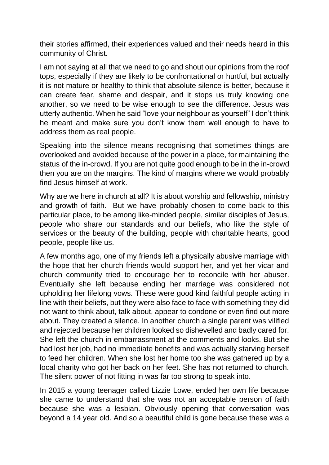their stories affirmed, their experiences valued and their needs heard in this community of Christ.

I am not saying at all that we need to go and shout our opinions from the roof tops, especially if they are likely to be confrontational or hurtful, but actually it is not mature or healthy to think that absolute silence is better, because it can create fear, shame and despair, and it stops us truly knowing one another, so we need to be wise enough to see the difference. Jesus was utterly authentic. When he said "love your neighbour as yourself" I don't think he meant and make sure you don't know them well enough to have to address them as real people.

Speaking into the silence means recognising that sometimes things are overlooked and avoided because of the power in a place, for maintaining the status of the in-crowd. If you are not quite good enough to be in the in-crowd then you are on the margins. The kind of margins where we would probably find Jesus himself at work.

Why are we here in church at all? It is about worship and fellowship, ministry and growth of faith. But we have probably chosen to come back to this particular place, to be among like-minded people, similar disciples of Jesus, people who share our standards and our beliefs, who like the style of services or the beauty of the building, people with charitable hearts, good people, people like us.

A few months ago, one of my friends left a physically abusive marriage with the hope that her church friends would support her, and yet her vicar and church community tried to encourage her to reconcile with her abuser. Eventually she left because ending her marriage was considered not upholding her lifelong vows. These were good kind faithful people acting in line with their beliefs, but they were also face to face with something they did not want to think about, talk about, appear to condone or even find out more about. They created a silence. In another church a single parent was vilified and rejected because her children looked so dishevelled and badly cared for. She left the church in embarrassment at the comments and looks. But she had lost her job, had no immediate benefits and was actually starving herself to feed her children. When she lost her home too she was gathered up by a local charity who got her back on her feet. She has not returned to church. The silent power of not fitting in was far too strong to speak into.

In 2015 a young teenager called Lizzie Lowe, ended her own life because she came to understand that she was not an acceptable person of faith because she was a lesbian. Obviously opening that conversation was beyond a 14 year old. And so a beautiful child is gone because these was a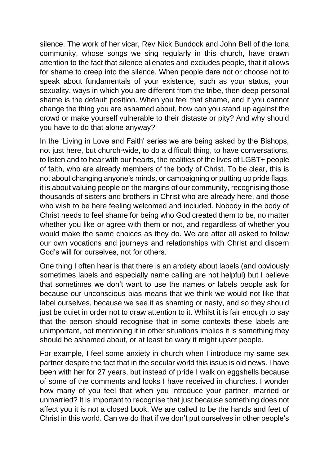silence. The work of her vicar, Rev Nick Bundock and John Bell of the Iona community, whose songs we sing regularly in this church, have drawn attention to the fact that silence alienates and excludes people, that it allows for shame to creep into the silence. When people dare not or choose not to speak about fundamentals of your existence, such as your status, your sexuality, ways in which you are different from the tribe, then deep personal shame is the default position. When you feel that shame, and if you cannot change the thing you are ashamed about, how can you stand up against the crowd or make yourself vulnerable to their distaste or pity? And why should you have to do that alone anyway?

In the 'Living in Love and Faith' series we are being asked by the Bishops, not just here, but church-wide, to do a difficult thing, to have conversations, to listen and to hear with our hearts, the realities of the lives of LGBT+ people of faith, who are already members of the body of Christ. To be clear, this is not about changing anyone's minds, or campaigning or putting up pride flags, it is about valuing people on the margins of our community, recognising those thousands of sisters and brothers in Christ who are already here, and those who wish to be here feeling welcomed and included. Nobody in the body of Christ needs to feel shame for being who God created them to be, no matter whether you like or agree with them or not, and regardless of whether you would make the same choices as they do. We are after all asked to follow our own vocations and journeys and relationships with Christ and discern God's will for ourselves, not for others.

One thing I often hear is that there is an anxiety about labels (and obviously sometimes labels and especially name calling are not helpful) but I believe that sometimes we don't want to use the names or labels people ask for because our unconscious bias means that we think we would not like that label ourselves, because we see it as shaming or nasty, and so they should just be quiet in order not to draw attention to it. Whilst it is fair enough to say that the person should recognise that in some contexts these labels are unimportant, not mentioning it in other situations implies it is something they should be ashamed about, or at least be wary it might upset people.

For example, I feel some anxiety in church when I introduce my same sex partner despite the fact that in the secular world this issue is old news. I have been with her for 27 years, but instead of pride I walk on eggshells because of some of the comments and looks I have received in churches. I wonder how many of you feel that when you introduce your partner, married or unmarried? It is important to recognise that just because something does not affect you it is not a closed book. We are called to be the hands and feet of Christ in this world. Can we do that if we don't put ourselves in other people's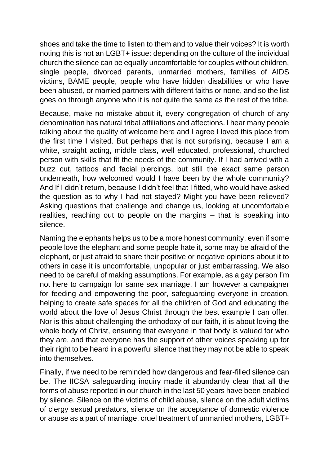shoes and take the time to listen to them and to value their voices? It is worth noting this is not an LGBT+ issue: depending on the culture of the individual church the silence can be equally uncomfortable for couples without children, single people, divorced parents, unmarried mothers, families of AIDS victims, BAME people, people who have hidden disabilities or who have been abused, or married partners with different faiths or none, and so the list goes on through anyone who it is not quite the same as the rest of the tribe.

Because, make no mistake about it, every congregation of church of any denomination has natural tribal affiliations and affections. I hear many people talking about the quality of welcome here and I agree I loved this place from the first time I visited. But perhaps that is not surprising, because I am a white, straight acting, middle class, well educated, professional, churched person with skills that fit the needs of the community. If I had arrived with a buzz cut, tattoos and facial piercings, but still the exact same person underneath, how welcomed would I have been by the whole community? And If I didn't return, because I didn't feel that I fitted, who would have asked the question as to why I had not stayed? Might you have been relieved? Asking questions that challenge and change us, looking at uncomfortable realities, reaching out to people on the margins – that is speaking into silence.

Naming the elephants helps us to be a more honest community, even if some people love the elephant and some people hate it, some may be afraid of the elephant, or just afraid to share their positive or negative opinions about it to others in case it is uncomfortable, unpopular or just embarrassing. We also need to be careful of making assumptions. For example, as a gay person I'm not here to campaign for same sex marriage. I am however a campaigner for feeding and empowering the poor, safeguarding everyone in creation, helping to create safe spaces for all the children of God and educating the world about the love of Jesus Christ through the best example I can offer. Nor is this about challenging the orthodoxy of our faith, it is about loving the whole body of Christ, ensuring that everyone in that body is valued for who they are, and that everyone has the support of other voices speaking up for their right to be heard in a powerful silence that they may not be able to speak into themselves.

Finally, if we need to be reminded how dangerous and fear-filled silence can be. The IICSA safeguarding inquiry made it abundantly clear that all the forms of abuse reported in our church in the last 50 years have been enabled by silence. Silence on the victims of child abuse, silence on the adult victims of clergy sexual predators, silence on the acceptance of domestic violence or abuse as a part of marriage, cruel treatment of unmarried mothers, LGBT+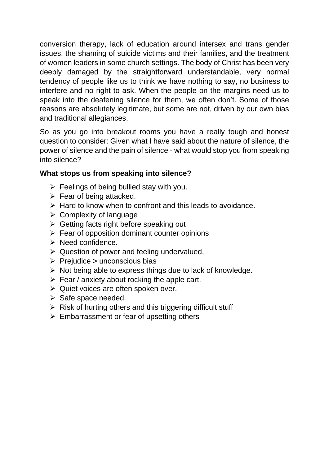conversion therapy, lack of education around intersex and trans gender issues, the shaming of suicide victims and their families, and the treatment of women leaders in some church settings. The body of Christ has been very deeply damaged by the straightforward understandable, very normal tendency of people like us to think we have nothing to say, no business to interfere and no right to ask. When the people on the margins need us to speak into the deafening silence for them, we often don't. Some of those reasons are absolutely legitimate, but some are not, driven by our own bias and traditional allegiances.

So as you go into breakout rooms you have a really tough and honest question to consider: Given what I have said about the nature of silence, the power of silence and the pain of silence - what would stop you from speaking into silence?

### **What stops us from speaking into silence?**

- $\triangleright$  Feelings of being bullied stay with you.
- $\triangleright$  Fear of being attacked.
- $\triangleright$  Hard to know when to confront and this leads to avoidance.
- $\triangleright$  Complexity of language
- $\triangleright$  Getting facts right before speaking out
- $\triangleright$  Fear of opposition dominant counter opinions
- ➢ Need confidence.
- $\triangleright$  Question of power and feeling undervalued.
- $\triangleright$  Prejudice  $\triangleright$  unconscious bias
- $\triangleright$  Not being able to express things due to lack of knowledge.
- $\triangleright$  Fear / anxiety about rocking the apple cart.
- $\triangleright$  Quiet voices are often spoken over.
- $\triangleright$  Safe space needed.
- $\triangleright$  Risk of hurting others and this triggering difficult stuff
- $\triangleright$  Embarrassment or fear of upsetting others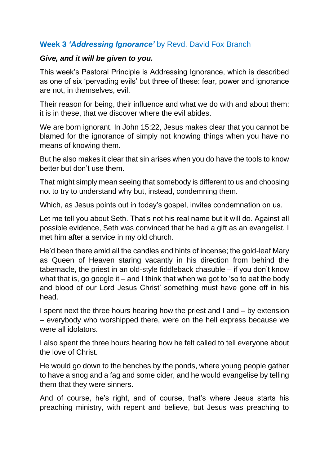## **Week 3** *'Addressing Ignorance'* by Revd. David Fox Branch

#### *Give, and it will be given to you.*

This week's Pastoral Principle is Addressing Ignorance, which is described as one of six 'pervading evils' but three of these: fear, power and ignorance are not, in themselves, evil.

Their reason for being, their influence and what we do with and about them: it is in these, that we discover where the evil abides.

We are born ignorant. In John 15:22, Jesus makes clear that you cannot be blamed for the ignorance of simply not knowing things when you have no means of knowing them.

But he also makes it clear that sin arises when you do have the tools to know better but don't use them.

That might simply mean seeing that somebody is different to us and choosing not to try to understand why but, instead, condemning them.

Which, as Jesus points out in today's gospel, invites condemnation on us.

Let me tell you about Seth. That's not his real name but it will do. Against all possible evidence, Seth was convinced that he had a gift as an evangelist. I met him after a service in my old church.

He'd been there amid all the candles and hints of incense; the gold-leaf Mary as Queen of Heaven staring vacantly in his direction from behind the tabernacle, the priest in an old-style fiddleback chasuble – if you don't know what that is, go google it – and I think that when we got to 'so to eat the body and blood of our Lord Jesus Christ' something must have gone off in his head.

I spent next the three hours hearing how the priest and I and – by extension – everybody who worshipped there, were on the hell express because we were all idolators.

I also spent the three hours hearing how he felt called to tell everyone about the love of Christ.

He would go down to the benches by the ponds, where young people gather to have a snog and a fag and some cider, and he would evangelise by telling them that they were sinners.

And of course, he's right, and of course, that's where Jesus starts his preaching ministry, with repent and believe, but Jesus was preaching to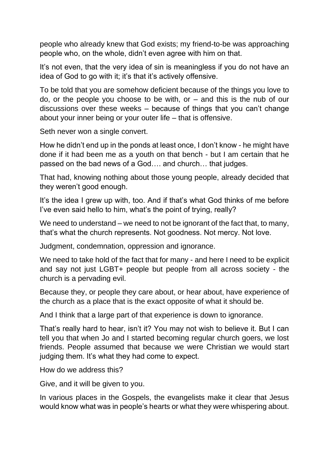people who already knew that God exists; my friend-to-be was approaching people who, on the whole, didn't even agree with him on that.

It's not even, that the very idea of sin is meaningless if you do not have an idea of God to go with it; it's that it's actively offensive.

To be told that you are somehow deficient because of the things you love to do, or the people you choose to be with, or  $-$  and this is the nub of our discussions over these weeks – because of things that you can't change about your inner being or your outer life – that is offensive.

Seth never won a single convert.

How he didn't end up in the ponds at least once, I don't know - he might have done if it had been me as a youth on that bench - but I am certain that he passed on the bad news of a God…. and church… that judges.

That had, knowing nothing about those young people, already decided that they weren't good enough.

It's the idea I grew up with, too. And if that's what God thinks of me before I've even said hello to him, what's the point of trying, really?

We need to understand – we need to not be ignorant of the fact that, to many, that's what the church represents. Not goodness. Not mercy. Not love.

Judgment, condemnation, oppression and ignorance.

We need to take hold of the fact that for many - and here I need to be explicit and say not just LGBT+ people but people from all across society - the church is a pervading evil.

Because they, or people they care about, or hear about, have experience of the church as a place that is the exact opposite of what it should be.

And I think that a large part of that experience is down to ignorance.

That's really hard to hear, isn't it? You may not wish to believe it. But I can tell you that when Jo and I started becoming regular church goers, we lost friends. People assumed that because we were Christian we would start judging them. It's what they had come to expect.

How do we address this?

Give, and it will be given to you.

In various places in the Gospels, the evangelists make it clear that Jesus would know what was in people's hearts or what they were whispering about.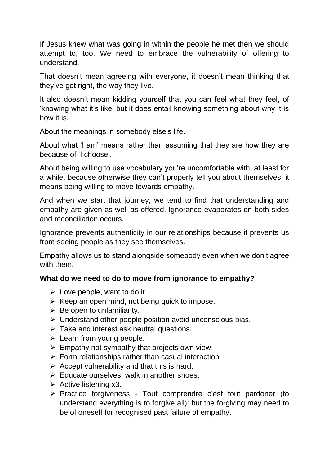If Jesus knew what was going in within the people he met then we should attempt to, too. We need to embrace the vulnerability of offering to understand.

That doesn't mean agreeing with everyone, it doesn't mean thinking that they've got right, the way they live.

It also doesn't mean kidding yourself that you can feel what they feel, of 'knowing what it's like' but it does entail knowing something about why it is how it is.

About the meanings in somebody else's life.

About what 'I am' means rather than assuming that they are how they are because of 'I choose'.

About being willing to use vocabulary you're uncomfortable with, at least for a while, because otherwise they can't properly tell you about themselves; it means being willing to move towards empathy.

And when we start that journey, we tend to find that understanding and empathy are given as well as offered. Ignorance evaporates on both sides and reconciliation occurs.

Ignorance prevents authenticity in our relationships because it prevents us from seeing people as they see themselves.

Empathy allows us to stand alongside somebody even when we don't agree with them.

### **What do we need to do to move from ignorance to empathy?**

- $\triangleright$  Love people, want to do it.
- $\triangleright$  Keep an open mind, not being quick to impose.
- $\triangleright$  Be open to unfamiliarity.
- ➢ Understand other people position avoid unconscious bias.
- $\triangleright$  Take and interest ask neutral questions.
- $\triangleright$  Learn from young people.
- $\triangleright$  Empathy not sympathy that projects own view
- $\triangleright$  Form relationships rather than casual interaction
- $\triangleright$  Accept vulnerability and that this is hard.
- $\triangleright$  Educate ourselves, walk in another shoes.
- $\triangleright$  Active listening x3.
- ➢ Practice forgiveness Tout comprendre c'est tout pardoner (to understand everything is to forgive all): but the forgiving may need to be of oneself for recognised past failure of empathy.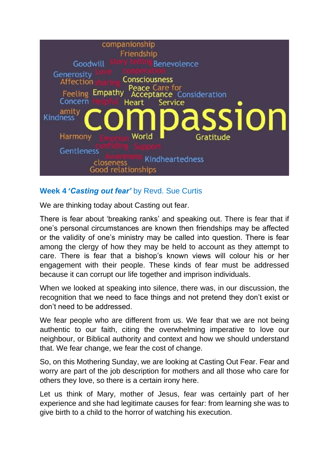

## **Week 4 '***Casting out fear'* by Revd. Sue Curtis

We are thinking today about Casting out fear.

There is fear about 'breaking ranks' and speaking out. There is fear that if one's personal circumstances are known then friendships may be affected or the validity of one's ministry may be called into question. There is fear among the clergy of how they may be held to account as they attempt to care. There is fear that a bishop's known views will colour his or her engagement with their people. These kinds of fear must be addressed because it can corrupt our life together and imprison individuals.

When we looked at speaking into silence, there was, in our discussion, the recognition that we need to face things and not pretend they don't exist or don't need to be addressed.

We fear people who are different from us. We fear that we are not being authentic to our faith, citing the overwhelming imperative to love our neighbour, or Biblical authority and context and how we should understand that. We fear change, we fear the cost of change.

So, on this Mothering Sunday, we are looking at Casting Out Fear. Fear and worry are part of the job description for mothers and all those who care for others they love, so there is a certain irony here.

Let us think of Mary, mother of Jesus, fear was certainly part of her experience and she had legitimate causes for fear: from learning she was to give birth to a child to the horror of watching his execution.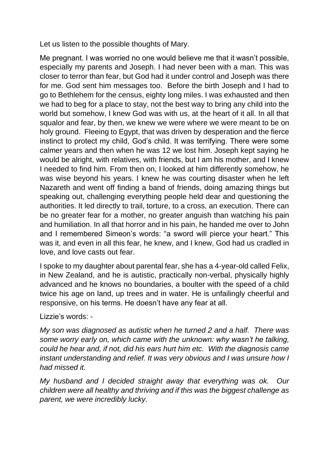Let us listen to the possible thoughts of Mary.

Me pregnant. I was worried no one would believe me that it wasn't possible, especially my parents and Joseph. I had never been with a man. This was closer to terror than fear, but God had it under control and Joseph was there for me. God sent him messages too. Before the birth Joseph and I had to go to Bethlehem for the census, eighty long miles. I was exhausted and then we had to beg for a place to stay, not the best way to bring any child into the world but somehow, I knew God was with us, at the heart of it all. In all that squalor and fear, by then, we knew we were where we were meant to be on holy ground. Fleeing to Egypt, that was driven by desperation and the fierce instinct to protect my child, God's child. It was terrifying. There were some calmer years and then when he was 12 we lost him. Joseph kept saying he would be alright, with relatives, with friends, but I am his mother, and I knew I needed to find him. From then on, I looked at him differently somehow, he was wise beyond his years. I knew he was courting disaster when he left Nazareth and went off finding a band of friends, doing amazing things but speaking out, challenging everything people held dear and questioning the authorities. It led directly to trail, torture, to a cross, an execution. There can be no greater fear for a mother, no greater anguish than watching his pain and humiliation. In all that horror and in his pain, he handed me over to John and I remembered Simeon's words: "a sword will pierce your heart." This was it, and even in all this fear, he knew, and I knew, God had us cradled in love, and love casts out fear.

I spoke to my daughter about parental fear, she has a 4-year-old called Felix, in New Zealand, and he is autistic, practically non-verbal, physically highly advanced and he knows no boundaries, a boulter with the speed of a child twice his age on land, up trees and in water. He is unfailingly cheerful and responsive, on his terms. He doesn't have any fear at all.

Lizzie's words: -

*My son was diagnosed as autistic when he turned 2 and a half. There was some worry early on, which came with the unknown: why wasn't he talking, could he hear and, if not, did his ears hurt him etc. With the diagnosis came instant understanding and relief. It was very obvious and I was unsure how I had missed it.* 

*My husband and I decided straight away that everything was ok. Our children were all healthy and thriving and if this was the biggest challenge as parent, we were incredibly lucky.*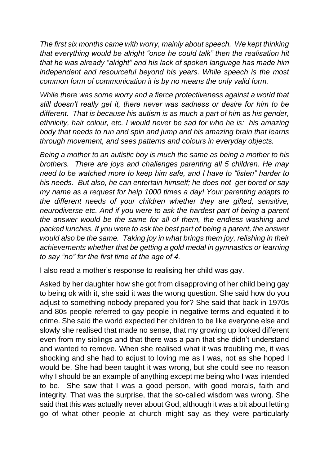*The first six months came with worry, mainly about speech. We kept thinking that everything would be alright "once he could talk" then the realisation hit that he was already "alright" and his lack of spoken language has made him independent and resourceful beyond his years. While speech is the most common form of communication it is by no means the only valid form.* 

*While there was some worry and a fierce protectiveness against a world that still doesn't really get it, there never was sadness or desire for him to be different. That is because his autism is as much a part of him as his gender, ethnicity, hair colour, etc. I would never be sad for who he is: his amazing body that needs to run and spin and jump and his amazing brain that learns through movement, and sees patterns and colours in everyday objects.* 

*Being a mother to an autistic boy is much the same as being a mother to his brothers. There are joys and challenges parenting all 5 children. He may need to be watched more to keep him safe, and I have to "listen" harder to his needs. But also, he can entertain himself; he does not get bored or say my name as a request for help 1000 times a day! Your parenting adapts to the different needs of your children whether they are gifted, sensitive, neurodiverse etc. And if you were to ask the hardest part of being a parent the answer would be the same for all of them, the endless washing and packed lunches. If you were to ask the best part of being a parent, the answer would also be the same. Taking joy in what brings them joy, relishing in their achievements whether that be getting a gold medal in gymnastics or learning to say "no" for the first time at the age of 4.* 

I also read a mother's response to realising her child was gay.

Asked by her daughter how she got from disapproving of her child being gay to being ok with it, she said it was the wrong question. She said how do you adjust to something nobody prepared you for? She said that back in 1970s and 80s people referred to gay people in negative terms and equated it to crime. She said the world expected her children to be like everyone else and slowly she realised that made no sense, that my growing up looked different even from my siblings and that there was a pain that she didn't understand and wanted to remove. When she realised what it was troubling me, it was shocking and she had to adjust to loving me as I was, not as she hoped I would be. She had been taught it was wrong, but she could see no reason why I should be an example of anything except me being who I was intended to be. She saw that I was a good person, with good morals, faith and integrity. That was the surprise, that the so-called wisdom was wrong. She said that this was actually never about God, although it was a bit about letting go of what other people at church might say as they were particularly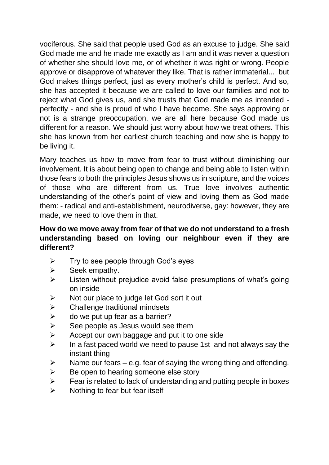vociferous. She said that people used God as an excuse to judge. She said God made me and he made me exactly as I am and it was never a question of whether she should love me, or of whether it was right or wrong. People approve or disapprove of whatever they like. That is rather immaterial... but God makes things perfect, just as every mother's child is perfect. And so, she has accepted it because we are called to love our families and not to reject what God gives us, and she trusts that God made me as intended perfectly - and she is proud of who I have become. She says approving or not is a strange preoccupation, we are all here because God made us different for a reason. We should just worry about how we treat others. This she has known from her earliest church teaching and now she is happy to be living it.

Mary teaches us how to move from fear to trust without diminishing our involvement. It is about being open to change and being able to listen within those fears to both the principles Jesus shows us in scripture, and the voices of those who are different from us. True love involves authentic understanding of the other's point of view and loving them as God made them: - radical and anti-establishment, neurodiverse, gay: however, they are made, we need to love them in that.

### **How do we move away from fear of that we do not understand to a fresh understanding based on loving our neighbour even if they are different?**

- $\triangleright$  Try to see people through God's eyes
- $\triangleright$  Seek empathy.
- ➢ Listen without prejudice avoid false presumptions of what's going on inside
- $\triangleright$  Not our place to judge let God sort it out
- $\triangleright$  Challenge traditional mindsets
- $\triangleright$  do we put up fear as a barrier?
- $\triangleright$  See people as Jesus would see them
- $\triangleright$  Accept our own baggage and put it to one side
- $\triangleright$  In a fast paced world we need to pause 1st and not always say the instant thing
- $\triangleright$  Name our fears e.g. fear of saying the wrong thing and offending.
- $\triangleright$  Be open to hearing someone else story
- $\triangleright$  Fear is related to lack of understanding and putting people in boxes
- $\triangleright$  Nothing to fear but fear itself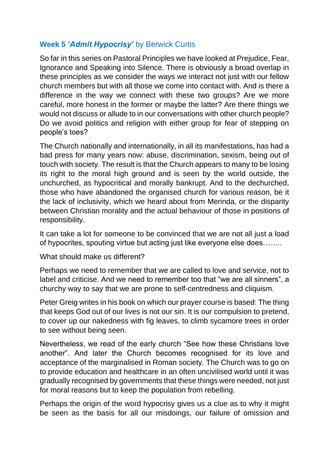## **Week 5** *'Admit Hypocrisy'* by Berwick Curtis

So far in this series on Pastoral Principles we have looked at Prejudice, Fear, Ignorance and Speaking into Silence. There is obviously a broad overlap in these principles as we consider the ways we interact not just with our fellow church members but with all those we come into contact with. And is there a difference in the way we connect with these two groups? Are we more careful, more honest in the former or maybe the latter? Are there things we would not discuss or allude to in our conversations with other church people? Do we avoid politics and religion with either group for fear of stepping on people's toes?

The Church nationally and internationally, in all its manifestations, has had a bad press for many years now: abuse, discrimination, sexism, being out of touch with society. The result is that the Church appears to many to be losing its right to the moral high ground and is seen by the world outside, the unchurched, as hypocritical and morally bankrupt. And to the dechurched, those who have abandoned the organised church for various reason, be it the lack of inclusivity, which we heard about from Merinda, or the disparity between Christian morality and the actual behaviour of those in positions of responsibility.

It can take a lot for someone to be convinced that we are not all just a load of hypocrites, spouting virtue but acting just like everyone else does……..

What should make us different?

Perhaps we need to remember that we are called to love and service, not to label and criticise. And we need to remember too that "we are all sinners", a churchy way to say that we are prone to self-centredness and cliquism.

Peter Greig writes in his book on which our prayer course is based: The thing that keeps God out of our lives is not our sin. It is our compulsion to pretend, to cover up our nakedness with fig leaves, to climb sycamore trees in order to see without being seen.

Nevertheless, we read of the early church "See how these Christians love another". And later the Church becomes recognised for its love and acceptance of the marginalised in Roman society. The Church was to go on to provide education and healthcare in an often uncivilised world until it was gradually recognised by governments that these things were needed, not just for moral reasons but to keep the population from rebelling.

Perhaps the origin of the word hypocrisy gives us a clue as to why it might be seen as the basis for all our misdoings, our failure of omission and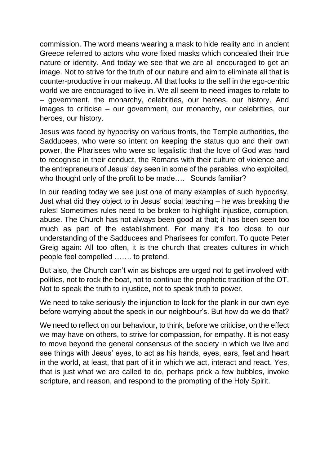commission. The word means wearing a mask to hide reality and in ancient Greece referred to actors who wore fixed masks which concealed their true nature or identity. And today we see that we are all encouraged to get an image. Not to strive for the truth of our nature and aim to eliminate all that is counter-productive in our makeup. All that looks to the self in the ego-centric world we are encouraged to live in. We all seem to need images to relate to – government, the monarchy, celebrities, our heroes, our history. And images to criticise – our government, our monarchy, our celebrities, our heroes, our history.

Jesus was faced by hypocrisy on various fronts, the Temple authorities, the Sadducees, who were so intent on keeping the status quo and their own power, the Pharisees who were so legalistic that the love of God was hard to recognise in their conduct, the Romans with their culture of violence and the entrepreneurs of Jesus' day seen in some of the parables, who exploited, who thought only of the profit to be made.... Sounds familiar?

In our reading today we see just one of many examples of such hypocrisy. Just what did they object to in Jesus' social teaching – he was breaking the rules! Sometimes rules need to be broken to highlight injustice, corruption, abuse. The Church has not always been good at that; it has been seen too much as part of the establishment. For many it's too close to our understanding of the Sadducees and Pharisees for comfort. To quote Peter Greig again: All too often, it is the church that creates cultures in which people feel compelled ……. to pretend.

But also, the Church can't win as bishops are urged not to get involved with politics, not to rock the boat, not to continue the prophetic tradition of the OT. Not to speak the truth to injustice, not to speak truth to power.

We need to take seriously the injunction to look for the plank in our own eye before worrying about the speck in our neighbour's. But how do we do that?

We need to reflect on our behaviour, to think, before we criticise, on the effect we may have on others, to strive for compassion, for empathy. It is not easy to move beyond the general consensus of the society in which we live and see things with Jesus' eyes, to act as his hands, eyes, ears, feet and heart in the world, at least, that part of it in which we act, interact and react. Yes, that is just what we are called to do, perhaps prick a few bubbles, invoke scripture, and reason, and respond to the prompting of the Holy Spirit.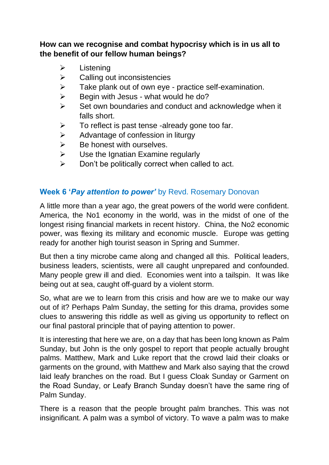## **How can we recognise and combat hypocrisy which is in us all to the benefit of our fellow human beings?**

- ➢ Listening
- $\triangleright$  Calling out inconsistencies
- ➢ Take plank out of own eye practice self-examination.
- $\triangleright$  Begin with Jesus what would he do?
- ➢ Set own boundaries and conduct and acknowledge when it falls short.
- $\triangleright$  To reflect is past tense -already gone too far.
- $\triangleright$  Advantage of confession in liturgy
- $\triangleright$  Be honest with ourselves.
- $\triangleright$  Use the Ignatian Examine regularly
- ➢ Don't be politically correct when called to act.

## **Week 6 '***Pay attention to power'* by Revd. Rosemary Donovan

A little more than a year ago, the great powers of the world were confident. America, the No1 economy in the world, was in the midst of one of the longest rising financial markets in recent history. China, the No2 economic power, was flexing its military and economic muscle. Europe was getting ready for another high tourist season in Spring and Summer.

But then a tiny microbe came along and changed all this. Political leaders, business leaders, scientists, were all caught unprepared and confounded. Many people grew ill and died. Economies went into a tailspin. It was like being out at sea, caught off-guard by a violent storm.

So, what are we to learn from this crisis and how are we to make our way out of it? Perhaps Palm Sunday, the setting for this drama, provides some clues to answering this riddle as well as giving us opportunity to reflect on our final pastoral principle that of paying attention to power.

It is interesting that here we are, on a day that has been long known as Palm Sunday, but John is the only gospel to report that people actually brought palms. Matthew, Mark and Luke report that the crowd laid their cloaks or garments on the ground, with Matthew and Mark also saying that the crowd laid leafy branches on the road. But I guess Cloak Sunday or Garment on the Road Sunday, or Leafy Branch Sunday doesn't have the same ring of Palm Sunday.

There is a reason that the people brought palm branches. This was not insignificant. A palm was a symbol of victory. To wave a palm was to make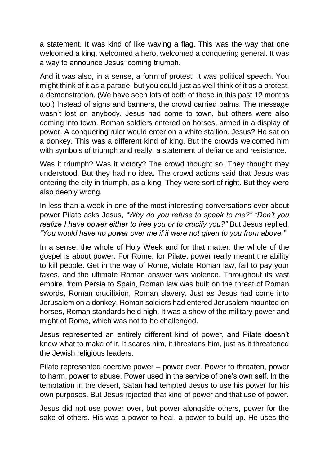a statement. It was kind of like waving a flag. This was the way that one welcomed a king, welcomed a hero, welcomed a conquering general. It was a way to announce Jesus' coming triumph.

And it was also, in a sense, a form of protest. It was political speech. You might think of it as a parade, but you could just as well think of it as a protest, a demonstration. (We have seen lots of both of these in this past 12 months too.) Instead of signs and banners, the crowd carried palms. The message wasn't lost on anybody. Jesus had come to town, but others were also coming into town. Roman soldiers entered on horses, armed in a display of power. A conquering ruler would enter on a white stallion. Jesus? He sat on a donkey. This was a different kind of king. But the crowds welcomed him with symbols of triumph and really, a statement of defiance and resistance.

Was it triumph? Was it victory? The crowd thought so. They thought they understood. But they had no idea. The crowd actions said that Jesus was entering the city in triumph, as a king. They were sort of right. But they were also deeply wrong.

In less than a week in one of the most interesting conversations ever about power Pilate asks Jesus, *"Why do you refuse to speak to me?" "Don't you realize I have power either to free you or to crucify you?"* But Jesus replied, *"You would have no power over me if it were not given to you from above."* 

In a sense, the whole of Holy Week and for that matter, the whole of the gospel is about power. For Rome, for Pilate, power really meant the ability to kill people. Get in the way of Rome, violate Roman law, fail to pay your taxes, and the ultimate Roman answer was violence. Throughout its vast empire, from Persia to Spain, Roman law was built on the threat of Roman swords, Roman crucifixion, Roman slavery. Just as Jesus had come into Jerusalem on a donkey, Roman soldiers had entered Jerusalem mounted on horses, Roman standards held high. It was a show of the military power and might of Rome, which was not to be challenged.

Jesus represented an entirely different kind of power, and Pilate doesn't know what to make of it. It scares him, it threatens him, just as it threatened the Jewish religious leaders.

Pilate represented coercive power – power over. Power to threaten, power to harm, power to abuse. Power used in the service of one's own self. In the temptation in the desert, Satan had tempted Jesus to use his power for his own purposes. But Jesus rejected that kind of power and that use of power.

Jesus did not use power over, but power alongside others, power for the sake of others. His was a power to heal, a power to build up. He uses the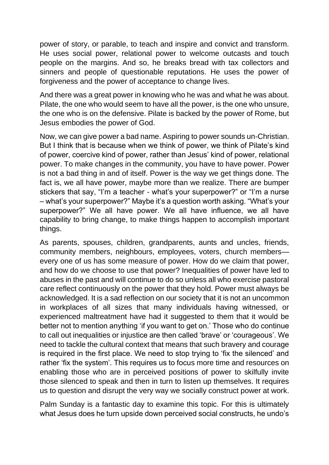power of story, or parable, to teach and inspire and convict and transform. He uses social power, relational power to welcome outcasts and touch people on the margins. And so, he breaks bread with tax collectors and sinners and people of questionable reputations. He uses the power of forgiveness and the power of acceptance to change lives.

And there was a great power in knowing who he was and what he was about. Pilate, the one who would seem to have all the power, is the one who unsure, the one who is on the defensive. Pilate is backed by the power of Rome, but Jesus embodies the power of God.

Now, we can give power a bad name. Aspiring to power sounds un-Christian. But I think that is because when we think of power, we think of Pilate's kind of power, coercive kind of power, rather than Jesus' kind of power, relational power. To make changes in the community, you have to have power. Power is not a bad thing in and of itself. Power is the way we get things done. The fact is, we all have power, maybe more than we realize. There are bumper stickers that say, "I'm a teacher - what's your superpower?" or "I'm a nurse – what's your superpower?" Maybe it's a question worth asking. "What's your superpower?" We all have power. We all have influence, we all have capability to bring change, to make things happen to accomplish important things.

As parents, spouses, children, grandparents, aunts and uncles, friends, community members, neighbours, employees, voters, church members every one of us has some measure of power. How do we claim that power, and how do we choose to use that power? Inequalities of power have led to abuses in the past and will continue to do so unless all who exercise pastoral care reflect continuously on the power that they hold. Power must always be acknowledged. It is a sad reflection on our society that it is not an uncommon in workplaces of all sizes that many individuals having witnessed, or experienced maltreatment have had it suggested to them that it would be better not to mention anything 'if you want to get on.' Those who do continue to call out inequalities or injustice are then called 'brave' or 'courageous'. We need to tackle the cultural context that means that such bravery and courage is required in the first place. We need to stop trying to 'fix the silenced' and rather 'fix the system'. This requires us to focus more time and resources on enabling those who are in perceived positions of power to skilfully invite those silenced to speak and then in turn to listen up themselves. It requires us to question and disrupt the very way we socially construct power at work.

Palm Sunday is a fantastic day to examine this topic. For this is ultimately what Jesus does he turn upside down perceived social constructs, he undo's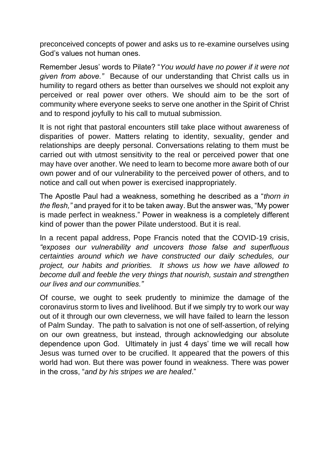preconceived concepts of power and asks us to re-examine ourselves using God's values not human ones.

Remember Jesus' words to Pilate? "*You would have no power if it were not given from above."* Because of our understanding that Christ calls us in humility to regard others as better than ourselves we should not exploit any perceived or real power over others. We should aim to be the sort of community where everyone seeks to serve one another in the Spirit of Christ and to respond joyfully to his call to mutual submission.

It is not right that pastoral encounters still take place without awareness of disparities of power. Matters relating to identity, sexuality, gender and relationships are deeply personal. Conversations relating to them must be carried out with utmost sensitivity to the real or perceived power that one may have over another. We need to learn to become more aware both of our own power and of our vulnerability to the perceived power of others, and to notice and call out when power is exercised inappropriately.

The Apostle Paul had a weakness, something he described as a "*thorn in the flesh,"* and prayed for it to be taken away. But the answer was, "My power is made perfect in weakness." Power in weakness is a completely different kind of power than the power Pilate understood. But it is real.

In a recent papal address, Pope Francis noted that the COVID-19 crisis, *"exposes our vulnerability and uncovers those false and superfluous certainties around which we have constructed our daily schedules, our project, our habits and priorities. It shows us how we have allowed to become dull and feeble the very things that nourish, sustain and strengthen our lives and our communities."*

Of course, we ought to seek prudently to minimize the damage of the coronavirus storm to lives and livelihood. But if we simply try to work our way out of it through our own cleverness, we will have failed to learn the lesson of Palm Sunday. The path to salvation is not one of self-assertion, of relying on our own greatness, but instead, through acknowledging our absolute dependence upon God. Ultimately in just 4 days' time we will recall how Jesus was turned over to be crucified. It appeared that the powers of this world had won. But there was power found in weakness. There was power in the cross, "*and by his stripes we are healed*."